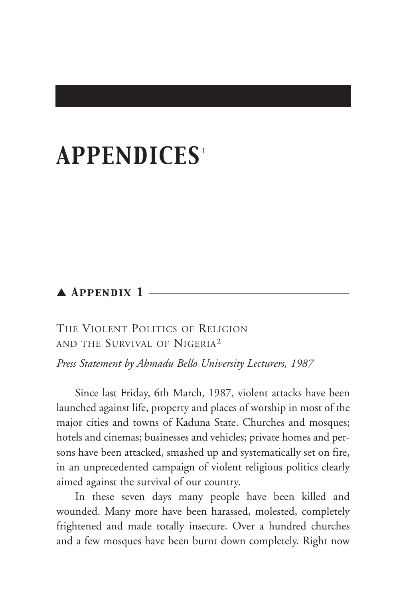# *APPENDICES*1

# ▲ *Appendix 1* \_\_\_\_\_\_\_\_\_\_\_\_\_\_\_\_\_\_\_\_\_\_\_\_\_\_\_\_\_\_\_\_\_\_\_

THE VIOLENT POLITICS OF RELIGION AND THE SURVIVAL OF NIGERIA2 *Press Statement by Ahmadu Bello University Lecturers, 1987*

Since last Friday, 6th March, 1987, violent attacks have been launched against life, property and places of worship in most of the major cities and towns of Kaduna State. Churches and mosques; hotels and cinemas; businesses and vehicles; private homes and persons have been attacked, smashed up and systematically set on fire, in an unprecedented campaign of violent religious politics clearly aimed against the survival of our country.

In these seven days many people have been killed and wounded. Many more have been harassed, molested, completely frightened and made totally insecure. Over a hundred churches and a few mosques have been burnt down completely. Right now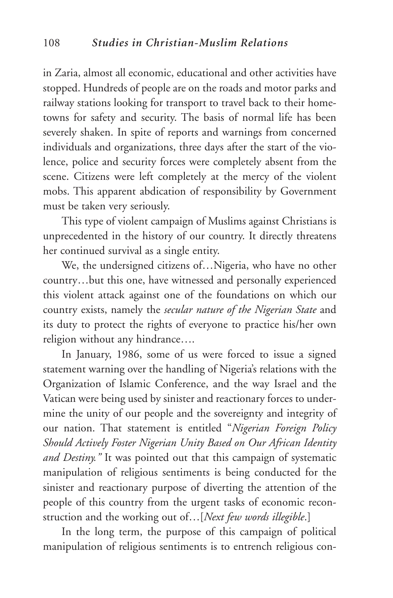in Zaria, almost all economic, educational and other activities have stopped. Hundreds of people are on the roads and motor parks and railway stations looking for transport to travel back to their hometowns for safety and security. The basis of normal life has been severely shaken. In spite of reports and warnings from concerned individuals and organizations, three days after the start of the violence, police and security forces were completely absent from the scene. Citizens were left completely at the mercy of the violent mobs. This apparent abdication of responsibility by Government must be taken very seriously.

This type of violent campaign of Muslims against Christians is unprecedented in the history of our country. It directly threatens her continued survival as a single entity.

We, the undersigned citizens of…Nigeria, who have no other country…but this one, have witnessed and personally experienced this violent attack against one of the foundations on which our country exists, namely the *secular nature of the Nigerian State* and its duty to protect the rights of everyone to practice his/her own religion without any hindrance….

In January, 1986, some of us were forced to issue a signed statement warning over the handling of Nigeria's relations with the Organization of Islamic Conference, and the way Israel and the Vatican were being used by sinister and reactionary forces to undermine the unity of our people and the sovereignty and integrity of our nation. That statement is entitled "*Nigerian Foreign Policy Should Actively Foster Nigerian Unity Based on Our African Identity and Destiny."* It was pointed out that this campaign of systematic manipulation of religious sentiments is being conducted for the sinister and reactionary purpose of diverting the attention of the people of this country from the urgent tasks of economic reconstruction and the working out of…[*Next few words illegible*.]

In the long term, the purpose of this campaign of political manipulation of religious sentiments is to entrench religious con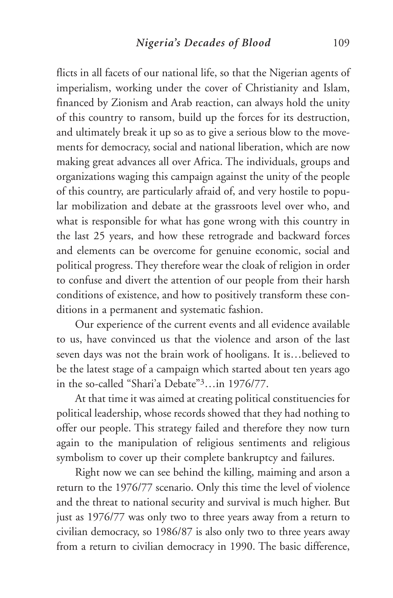flicts in all facets of our national life, so that the Nigerian agents of imperialism, working under the cover of Christianity and Islam, financed by Zionism and Arab reaction, can always hold the unity of this country to ransom, build up the forces for its destruction, and ultimately break it up so as to give a serious blow to the movements for democracy, social and national liberation, which are now making great advances all over Africa. The individuals, groups and organizations waging this campaign against the unity of the people of this country, are particularly afraid of, and very hostile to popular mobilization and debate at the grassroots level over who, and what is responsible for what has gone wrong with this country in the last 25 years, and how these retrograde and backward forces and elements can be overcome for genuine economic, social and political progress. They therefore wear the cloak of religion in order to confuse and divert the attention of our people from their harsh conditions of existence, and how to positively transform these conditions in a permanent and systematic fashion.

Our experience of the current events and all evidence available to us, have convinced us that the violence and arson of the last seven days was not the brain work of hooligans. It is…believed to be the latest stage of a campaign which started about ten years ago in the so-called "Shari'a Debate"3…in 1976/77.

At that time it was aimed at creating political constituencies for political leadership, whose records showed that they had nothing to offer our people. This strategy failed and therefore they now turn again to the manipulation of religious sentiments and religious symbolism to cover up their complete bankruptcy and failures.

Right now we can see behind the killing, maiming and arson a return to the 1976/77 scenario. Only this time the level of violence and the threat to national security and survival is much higher. But just as 1976/77 was only two to three years away from a return to civilian democracy, so 1986/87 is also only two to three years away from a return to civilian democracy in 1990. The basic difference,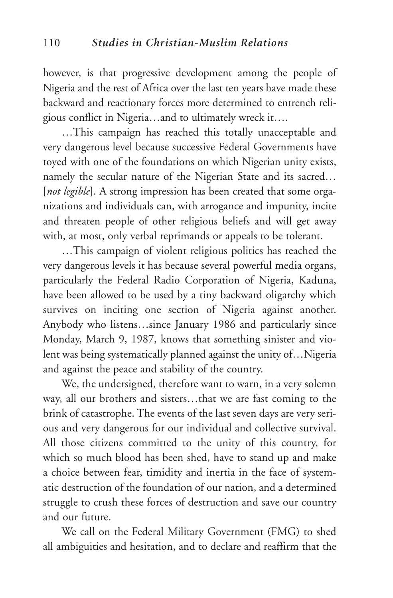however, is that progressive development among the people of Nigeria and the rest of Africa over the last ten years have made these backward and reactionary forces more determined to entrench religious conflict in Nigeria…and to ultimately wreck it….

…This campaign has reached this totally unacceptable and very dangerous level because successive Federal Governments have toyed with one of the foundations on which Nigerian unity exists, namely the secular nature of the Nigerian State and its sacred… [not legible]. A strong impression has been created that some organizations and individuals can, with arrogance and impunity, incite and threaten people of other religious beliefs and will get away with, at most, only verbal reprimands or appeals to be tolerant.

…This campaign of violent religious politics has reached the very dangerous levels it has because several powerful media organs, particularly the Federal Radio Corporation of Nigeria, Kaduna, have been allowed to be used by a tiny backward oligarchy which survives on inciting one section of Nigeria against another. Anybody who listens…since January 1986 and particularly since Monday, March 9, 1987, knows that something sinister and violent was being systematically planned against the unity of…Nigeria and against the peace and stability of the country.

We, the undersigned, therefore want to warn, in a very solemn way, all our brothers and sisters…that we are fast coming to the brink of catastrophe. The events of the last seven days are very serious and very dangerous for our individual and collective survival. All those citizens committed to the unity of this country, for which so much blood has been shed, have to stand up and make a choice between fear, timidity and inertia in the face of systematic destruction of the foundation of our nation, and a determined struggle to crush these forces of destruction and save our country and our future.

We call on the Federal Military Government (FMG) to shed all ambiguities and hesitation, and to declare and reaffirm that the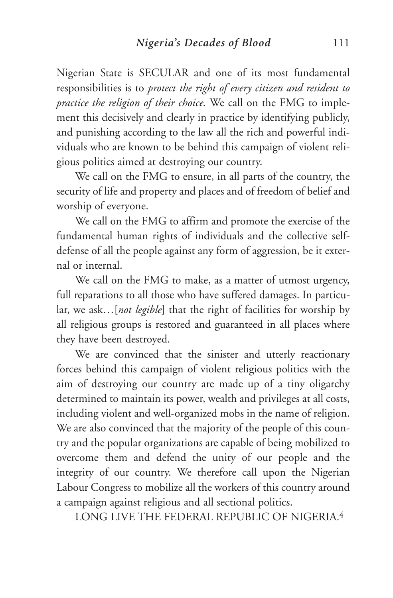Nigerian State is SECULAR and one of its most fundamental responsibilities is to *protect the right of every citizen and resident to practice the religion of their choice.* We call on the FMG to implement this decisively and clearly in practice by identifying publicly, and punishing according to the law all the rich and powerful individuals who are known to be behind this campaign of violent religious politics aimed at destroying our country.

We call on the FMG to ensure, in all parts of the country, the security of life and property and places and of freedom of belief and worship of everyone.

We call on the FMG to affirm and promote the exercise of the fundamental human rights of individuals and the collective selfdefense of all the people against any form of aggression, be it external or internal.

We call on the FMG to make, as a matter of utmost urgency, full reparations to all those who have suffered damages. In particular, we ask…[*not legible*] that the right of facilities for worship by all religious groups is restored and guaranteed in all places where they have been destroyed.

We are convinced that the sinister and utterly reactionary forces behind this campaign of violent religious politics with the aim of destroying our country are made up of a tiny oligarchy determined to maintain its power, wealth and privileges at all costs, including violent and well-organized mobs in the name of religion. We are also convinced that the majority of the people of this country and the popular organizations are capable of being mobilized to overcome them and defend the unity of our people and the integrity of our country. We therefore call upon the Nigerian Labour Congress to mobilize all the workers of this country around a campaign against religious and all sectional politics.

LONG LIVE THE FEDERAL REPUBLIC OF NIGERIA 4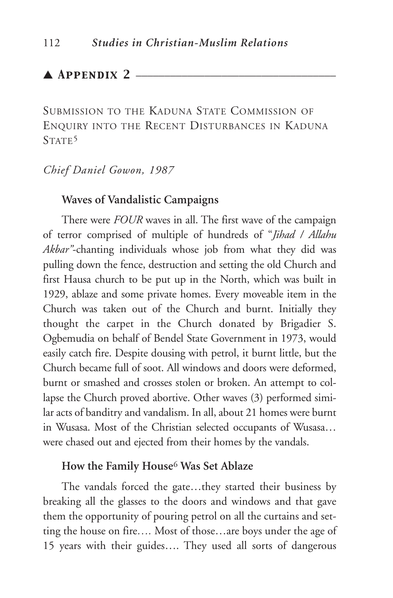#### ▲ *Appendix 2* \_\_\_\_\_\_\_\_\_\_\_\_\_\_\_\_\_\_\_\_\_\_\_\_\_\_\_\_\_\_\_\_\_\_\_

SUBMISSION TO THE KADUNA STATE COMMISSION OF ENQUIRY INTO THE RECENT DISTURBANCES IN KADUNA STATE<sup>5</sup>

#### *Chief Daniel Gowon, 1987*

#### **Waves of Vandalistic Campaigns**

There were *FOUR* waves in all. The first wave of the campaign of terror comprised of multiple of hundreds of "*Jihad / Allahu Akbar"*-chanting individuals whose job from what they did was pulling down the fence, destruction and setting the old Church and first Hausa church to be put up in the North, which was built in 1929, ablaze and some private homes. Every moveable item in the Church was taken out of the Church and burnt. Initially they thought the carpet in the Church donated by Brigadier S. Ogbemudia on behalf of Bendel State Government in 1973, would easily catch fire. Despite dousing with petrol, it burnt little, but the Church became full of soot. All windows and doors were deformed, burnt or smashed and crosses stolen or broken. An attempt to collapse the Church proved abortive. Other waves (3) performed similar acts of banditry and vandalism. In all, about 21 homes were burnt in Wusasa. Most of the Christian selected occupants of Wusasa… were chased out and ejected from their homes by the vandals.

#### **How the Family House**<sup>6</sup> **Was Set Ablaze**

The vandals forced the gate…they started their business by breaking all the glasses to the doors and windows and that gave them the opportunity of pouring petrol on all the curtains and setting the house on fire*….* Most of those…are boys under the age of 15 years with their guides…. They used all sorts of dangerous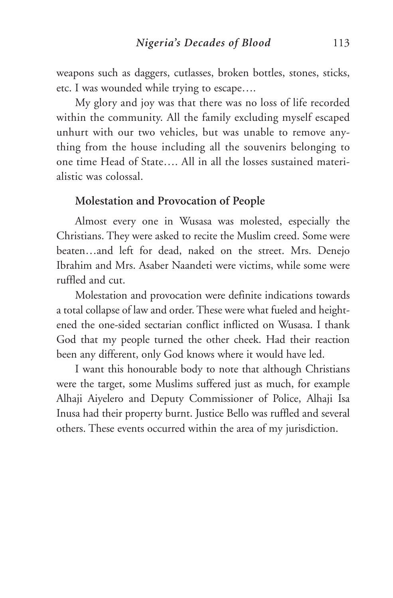weapons such as daggers, cutlasses, broken bottles, stones, sticks, etc. I was wounded while trying to escape….

My glory and joy was that there was no loss of life recorded within the community. All the family excluding myself escaped unhurt with our two vehicles, but was unable to remove anything from the house including all the souvenirs belonging to one time Head of State…. All in all the losses sustained materialistic was colossal.

#### **Molestation and Provocation of People**

Almost every one in Wusasa was molested, especially the Christians. They were asked to recite the Muslim creed. Some were beaten…and left for dead, naked on the street. Mrs. Denejo Ibrahim and Mrs. Asaber Naandeti were victims, while some were ruffled and cut.

Molestation and provocation were definite indications towards a total collapse of law and order. These were what fueled and heightened the one-sided sectarian conflict inflicted on Wusasa. I thank God that my people turned the other cheek. Had their reaction been any different, only God knows where it would have led.

I want this honourable body to note that although Christians were the target, some Muslims suffered just as much, for example Alhaji Aiyelero and Deputy Commissioner of Police, Alhaji Isa Inusa had their property burnt. Justice Bello was ruffled and several others. These events occurred within the area of my jurisdiction.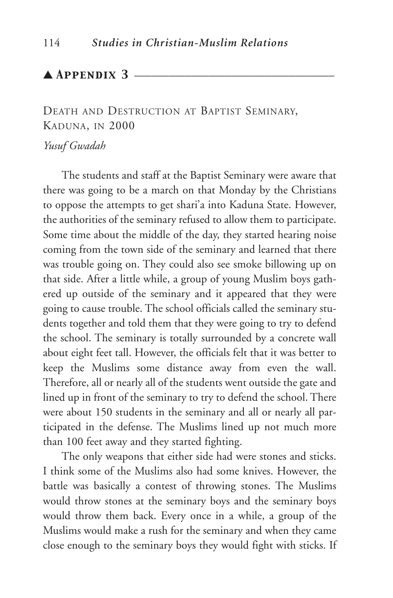## ▲ *Appendix 3* \_\_\_\_\_\_\_\_\_\_\_\_\_\_\_\_\_\_\_\_\_\_\_\_\_\_\_\_\_\_\_\_\_\_\_

# DEATH AND DESTRUCTION AT BAPTIST SEMINARY, KADUNA, IN 2000

#### *Yusuf Gwadah*

The students and staff at the Baptist Seminary were aware that there was going to be a march on that Monday by the Christians to oppose the attempts to get shari'a into Kaduna State. However, the authorities of the seminary refused to allow them to participate. Some time about the middle of the day, they started hearing noise coming from the town side of the seminary and learned that there was trouble going on. They could also see smoke billowing up on that side. After a little while, a group of young Muslim boys gathered up outside of the seminary and it appeared that they were going to cause trouble. The school officials called the seminary students together and told them that they were going to try to defend the school. The seminary is totally surrounded by a concrete wall about eight feet tall. However, the officials felt that it was better to keep the Muslims some distance away from even the wall. Therefore, all or nearly all of the students went outside the gate and lined up in front of the seminary to try to defend the school. There were about 150 students in the seminary and all or nearly all participated in the defense. The Muslims lined up not much more than 100 feet away and they started fighting.

The only weapons that either side had were stones and sticks. I think some of the Muslims also had some knives. However, the battle was basically a contest of throwing stones. The Muslims would throw stones at the seminary boys and the seminary boys would throw them back. Every once in a while, a group of the Muslims would make a rush for the seminary and when they came close enough to the seminary boys they would fight with sticks. If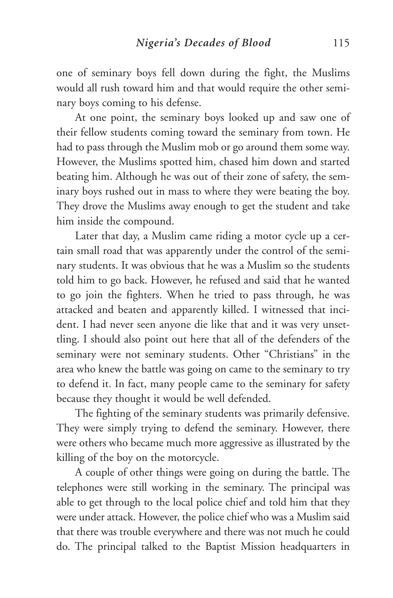one of seminary boys fell down during the fight, the Muslims would all rush toward him and that would require the other seminary boys coming to his defense.

At one point, the seminary boys looked up and saw one of their fellow students coming toward the seminary from town. He had to pass through the Muslim mob or go around them some way. However, the Muslims spotted him, chased him down and started beating him. Although he was out of their zone of safety, the seminary boys rushed out in mass to where they were beating the boy. They drove the Muslims away enough to get the student and take him inside the compound.

Later that day, a Muslim came riding a motor cycle up a certain small road that was apparently under the control of the seminary students. It was obvious that he was a Muslim so the students told him to go back. However, he refused and said that he wanted to go join the fighters. When he tried to pass through, he was attacked and beaten and apparently killed. I witnessed that incident. I had never seen anyone die like that and it was very unsettling. I should also point out here that all of the defenders of the seminary were not seminary students. Other "Christians" in the area who knew the battle was going on came to the seminary to try to defend it. In fact, many people came to the seminary for safety because they thought it would be well defended.

The fighting of the seminary students was primarily defensive. They were simply trying to defend the seminary. However, there were others who became much more aggressive as illustrated by the killing of the boy on the motorcycle.

A couple of other things were going on during the battle. The telephones were still working in the seminary. The principal was able to get through to the local police chief and told him that they were under attack. However, the police chief who was a Muslim said that there was trouble everywhere and there was not much he could do. The principal talked to the Baptist Mission headquarters in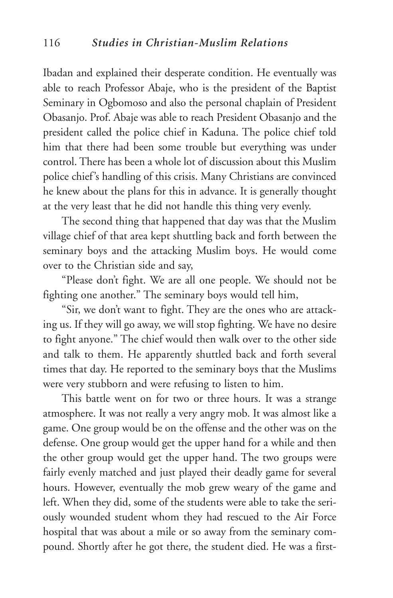Ibadan and explained their desperate condition. He eventually was able to reach Professor Abaje, who is the president of the Baptist Seminary in Ogbomoso and also the personal chaplain of President Obasanjo. Prof. Abaje was able to reach President Obasanjo and the president called the police chief in Kaduna. The police chief told him that there had been some trouble but everything was under control. There has been a whole lot of discussion about this Muslim police chief's handling of this crisis. Many Christians are convinced he knew about the plans for this in advance. It is generally thought at the very least that he did not handle this thing very evenly.

The second thing that happened that day was that the Muslim village chief of that area kept shuttling back and forth between the seminary boys and the attacking Muslim boys. He would come over to the Christian side and say,

"Please don't fight. We are all one people. We should not be fighting one another." The seminary boys would tell him,

"Sir, we don't want to fight. They are the ones who are attacking us. If they will go away, we will stop fighting. We have no desire to fight anyone." The chief would then walk over to the other side and talk to them. He apparently shuttled back and forth several times that day. He reported to the seminary boys that the Muslims were very stubborn and were refusing to listen to him.

This battle went on for two or three hours. It was a strange atmosphere. It was not really a very angry mob. It was almost like a game. One group would be on the offense and the other was on the defense. One group would get the upper hand for a while and then the other group would get the upper hand. The two groups were fairly evenly matched and just played their deadly game for several hours. However, eventually the mob grew weary of the game and left. When they did, some of the students were able to take the seriously wounded student whom they had rescued to the Air Force hospital that was about a mile or so away from the seminary compound. Shortly after he got there, the student died. He was a first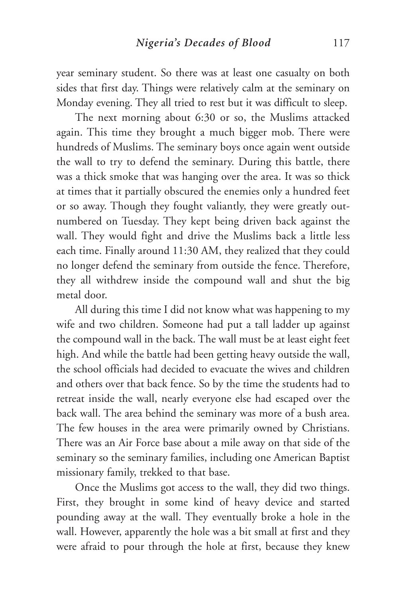year seminary student. So there was at least one casualty on both sides that first day. Things were relatively calm at the seminary on Monday evening. They all tried to rest but it was difficult to sleep.

The next morning about 6:30 or so, the Muslims attacked again. This time they brought a much bigger mob. There were hundreds of Muslims. The seminary boys once again went outside the wall to try to defend the seminary. During this battle, there was a thick smoke that was hanging over the area. It was so thick at times that it partially obscured the enemies only a hundred feet or so away. Though they fought valiantly, they were greatly outnumbered on Tuesday. They kept being driven back against the wall. They would fight and drive the Muslims back a little less each time. Finally around 11:30 AM, they realized that they could no longer defend the seminary from outside the fence. Therefore, they all withdrew inside the compound wall and shut the big metal door.

All during this time I did not know what was happening to my wife and two children. Someone had put a tall ladder up against the compound wall in the back. The wall must be at least eight feet high. And while the battle had been getting heavy outside the wall, the school officials had decided to evacuate the wives and children and others over that back fence. So by the time the students had to retreat inside the wall, nearly everyone else had escaped over the back wall. The area behind the seminary was more of a bush area. The few houses in the area were primarily owned by Christians. There was an Air Force base about a mile away on that side of the seminary so the seminary families, including one American Baptist missionary family, trekked to that base.

Once the Muslims got access to the wall, they did two things. First, they brought in some kind of heavy device and started pounding away at the wall. They eventually broke a hole in the wall. However, apparently the hole was a bit small at first and they were afraid to pour through the hole at first, because they knew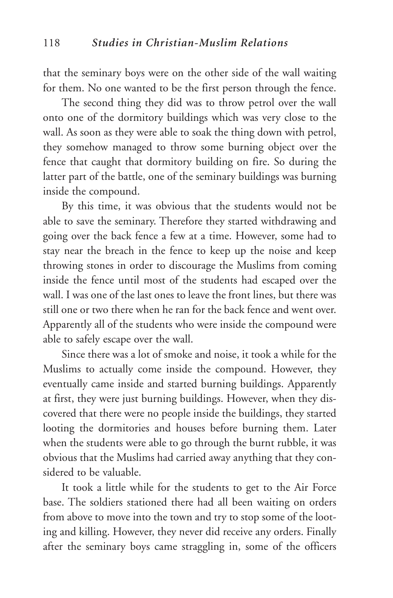that the seminary boys were on the other side of the wall waiting for them. No one wanted to be the first person through the fence.

The second thing they did was to throw petrol over the wall onto one of the dormitory buildings which was very close to the wall. As soon as they were able to soak the thing down with petrol, they somehow managed to throw some burning object over the fence that caught that dormitory building on fire. So during the latter part of the battle, one of the seminary buildings was burning inside the compound.

By this time, it was obvious that the students would not be able to save the seminary. Therefore they started withdrawing and going over the back fence a few at a time. However, some had to stay near the breach in the fence to keep up the noise and keep throwing stones in order to discourage the Muslims from coming inside the fence until most of the students had escaped over the wall. I was one of the last ones to leave the front lines, but there was still one or two there when he ran for the back fence and went over. Apparently all of the students who were inside the compound were able to safely escape over the wall.

Since there was a lot of smoke and noise, it took a while for the Muslims to actually come inside the compound. However, they eventually came inside and started burning buildings. Apparently at first, they were just burning buildings. However, when they discovered that there were no people inside the buildings, they started looting the dormitories and houses before burning them. Later when the students were able to go through the burnt rubble, it was obvious that the Muslims had carried away anything that they considered to be valuable.

It took a little while for the students to get to the Air Force base. The soldiers stationed there had all been waiting on orders from above to move into the town and try to stop some of the looting and killing. However, they never did receive any orders. Finally after the seminary boys came straggling in, some of the officers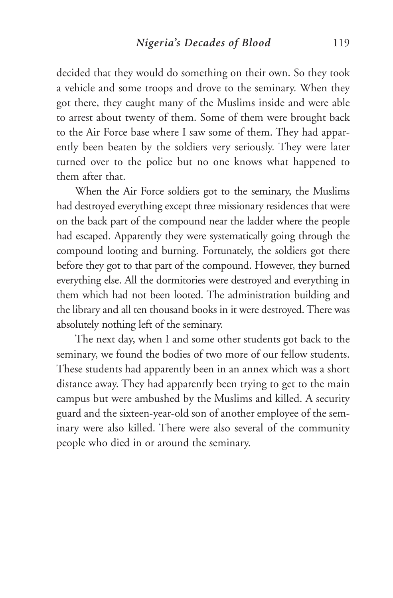decided that they would do something on their own. So they took a vehicle and some troops and drove to the seminary. When they got there, they caught many of the Muslims inside and were able to arrest about twenty of them. Some of them were brought back to the Air Force base where I saw some of them. They had apparently been beaten by the soldiers very seriously. They were later turned over to the police but no one knows what happened to them after that.

When the Air Force soldiers got to the seminary, the Muslims had destroyed everything except three missionary residences that were on the back part of the compound near the ladder where the people had escaped. Apparently they were systematically going through the compound looting and burning. Fortunately, the soldiers got there before they got to that part of the compound. However, they burned everything else. All the dormitories were destroyed and everything in them which had not been looted. The administration building and the library and all ten thousand books in it were destroyed. There was absolutely nothing left of the seminary.

The next day, when I and some other students got back to the seminary, we found the bodies of two more of our fellow students. These students had apparently been in an annex which was a short distance away. They had apparently been trying to get to the main campus but were ambushed by the Muslims and killed. A security guard and the sixteen-year-old son of another employee of the seminary were also killed. There were also several of the community people who died in or around the seminary.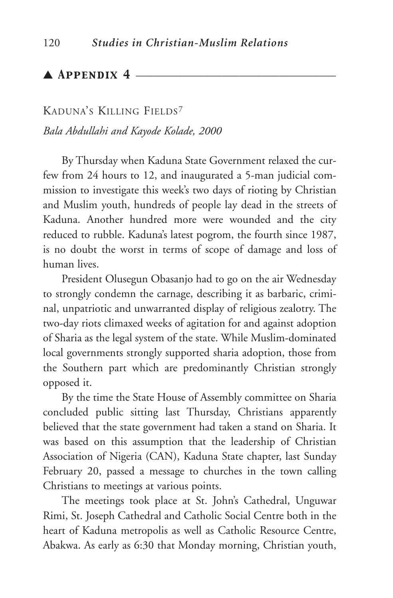## $\blacktriangle$  Appendix 4  $\blacktriangle$

# KADUNA'S KILLING FIELDS7 *Bala Abdullahi and Kayode Kolade, 2000*

By Thursday when Kaduna State Government relaxed the curfew from 24 hours to 12, and inaugurated a 5-man judicial commission to investigate this week's two days of rioting by Christian and Muslim youth, hundreds of people lay dead in the streets of Kaduna. Another hundred more were wounded and the city reduced to rubble. Kaduna's latest pogrom, the fourth since 1987, is no doubt the worst in terms of scope of damage and loss of human lives.

President Olusegun Obasanjo had to go on the air Wednesday to strongly condemn the carnage, describing it as barbaric, criminal, unpatriotic and unwarranted display of religious zealotry. The two-day riots climaxed weeks of agitation for and against adoption of Sharia as the legal system of the state. While Muslim-dominated local governments strongly supported sharia adoption, those from the Southern part which are predominantly Christian strongly opposed it.

By the time the State House of Assembly committee on Sharia concluded public sitting last Thursday, Christians apparently believed that the state government had taken a stand on Sharia. It was based on this assumption that the leadership of Christian Association of Nigeria (CAN), Kaduna State chapter, last Sunday February 20, passed a message to churches in the town calling Christians to meetings at various points.

The meetings took place at St. John's Cathedral, Unguwar Rimi, St. Joseph Cathedral and Catholic Social Centre both in the heart of Kaduna metropolis as well as Catholic Resource Centre, Abakwa. As early as 6:30 that Monday morning, Christian youth,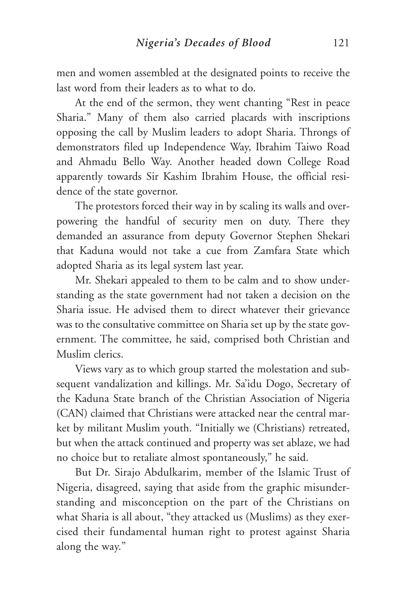men and women assembled at the designated points to receive the last word from their leaders as to what to do.

At the end of the sermon, they went chanting "Rest in peace Sharia." Many of them also carried placards with inscriptions opposing the call by Muslim leaders to adopt Sharia. Throngs of demonstrators filed up Independence Way, Ibrahim Taiwo Road and Ahmadu Bello Way. Another headed down College Road apparently towards Sir Kashim Ibrahim House, the official residence of the state governor.

The protestors forced their way in by scaling its walls and overpowering the handful of security men on duty. There they demanded an assurance from deputy Governor Stephen Shekari that Kaduna would not take a cue from Zamfara State which adopted Sharia as its legal system last year.

Mr. Shekari appealed to them to be calm and to show understanding as the state government had not taken a decision on the Sharia issue. He advised them to direct whatever their grievance was to the consultative committee on Sharia set up by the state government. The committee, he said, comprised both Christian and Muslim clerics.

Views vary as to which group started the molestation and subsequent vandalization and killings. Mr. Sa'idu Dogo, Secretary of the Kaduna State branch of the Christian Association of Nigeria (CAN) claimed that Christians were attacked near the central market by militant Muslim youth. "Initially we (Christians) retreated, but when the attack continued and property was set ablaze, we had no choice but to retaliate almost spontaneously," he said.

But Dr. Sirajo Abdulkarim, member of the Islamic Trust of Nigeria, disagreed, saying that aside from the graphic misunderstanding and misconception on the part of the Christians on what Sharia is all about, "they attacked us (Muslims) as they exercised their fundamental human right to protest against Sharia along the way."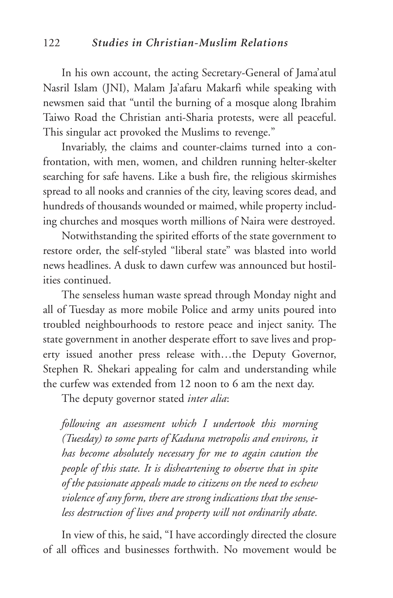In his own account, the acting Secretary-General of Jama'atul Nasril Islam (JNI), Malam Ja'afaru Makarfi while speaking with newsmen said that "until the burning of a mosque along Ibrahim Taiwo Road the Christian anti-Sharia protests, were all peaceful. This singular act provoked the Muslims to revenge."

Invariably, the claims and counter-claims turned into a confrontation, with men, women, and children running helter-skelter searching for safe havens. Like a bush fire, the religious skirmishes spread to all nooks and crannies of the city, leaving scores dead, and hundreds of thousands wounded or maimed, while property including churches and mosques worth millions of Naira were destroyed.

Notwithstanding the spirited efforts of the state government to restore order, the self-styled "liberal state" was blasted into world news headlines. A dusk to dawn curfew was announced but hostilities continued.

The senseless human waste spread through Monday night and all of Tuesday as more mobile Police and army units poured into troubled neighbourhoods to restore peace and inject sanity. The state government in another desperate effort to save lives and property issued another press release with…the Deputy Governor, Stephen R. Shekari appealing for calm and understanding while the curfew was extended from 12 noon to 6 am the next day.

The deputy governor stated *inter alia*:

*following an assessment which I undertook this morning (Tuesday) to some parts of Kaduna metropolis and environs, it has become absolutely necessary for me to again caution the people of this state. It is disheartening to observe that in spite of the passionate appeals made to citizens on the need to eschew violence of any form, there are strong indications that the senseless destruction of lives and property will not ordinarily abate.*

In view of this, he said, "I have accordingly directed the closure of all offices and businesses forthwith. No movement would be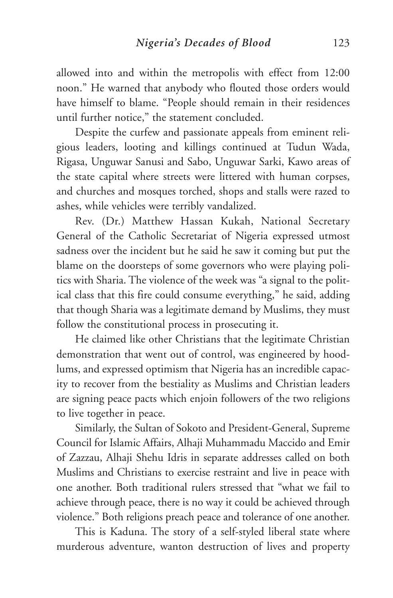allowed into and within the metropolis with effect from 12:00 noon." He warned that anybody who flouted those orders would have himself to blame. "People should remain in their residences until further notice," the statement concluded.

Despite the curfew and passionate appeals from eminent religious leaders, looting and killings continued at Tudun Wada, Rigasa, Unguwar Sanusi and Sabo, Unguwar Sarki, Kawo areas of the state capital where streets were littered with human corpses, and churches and mosques torched, shops and stalls were razed to ashes, while vehicles were terribly vandalized.

Rev. (Dr.) Matthew Hassan Kukah, National Secretary General of the Catholic Secretariat of Nigeria expressed utmost sadness over the incident but he said he saw it coming but put the blame on the doorsteps of some governors who were playing politics with Sharia. The violence of the week was "a signal to the political class that this fire could consume everything," he said, adding that though Sharia was a legitimate demand by Muslims, they must follow the constitutional process in prosecuting it.

He claimed like other Christians that the legitimate Christian demonstration that went out of control, was engineered by hoodlums, and expressed optimism that Nigeria has an incredible capacity to recover from the bestiality as Muslims and Christian leaders are signing peace pacts which enjoin followers of the two religions to live together in peace.

Similarly, the Sultan of Sokoto and President-General, Supreme Council for Islamic Affairs, Alhaji Muhammadu Maccido and Emir of Zazzau, Alhaji Shehu Idris in separate addresses called on both Muslims and Christians to exercise restraint and live in peace with one another. Both traditional rulers stressed that "what we fail to achieve through peace, there is no way it could be achieved through violence." Both religions preach peace and tolerance of one another.

This is Kaduna. The story of a self-styled liberal state where murderous adventure, wanton destruction of lives and property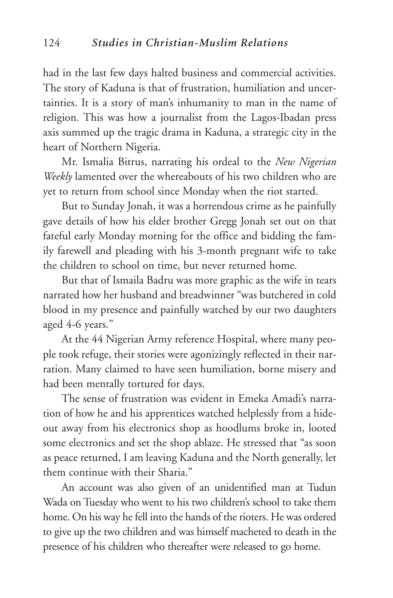had in the last few days halted business and commercial activities. The story of Kaduna is that of frustration, humiliation and uncertainties. It is a story of man's inhumanity to man in the name of religion. This was how a journalist from the Lagos-Ibadan press axis summed up the tragic drama in Kaduna, a strategic city in the heart of Northern Nigeria.

Mr. Ismalia Bitrus, narrating his ordeal to the *New Nigerian Weekly* lamented over the whereabouts of his two children who are yet to return from school since Monday when the riot started.

But to Sunday Jonah, it was a horrendous crime as he painfully gave details of how his elder brother Gregg Jonah set out on that fateful early Monday morning for the office and bidding the family farewell and pleading with his 3-month pregnant wife to take the children to school on time, but never returned home.

But that of Ismaila Badru was more graphic as the wife in tears narrated how her husband and breadwinner "was butchered in cold blood in my presence and painfully watched by our two daughters aged 4-6 years."

At the 44 Nigerian Army reference Hospital, where many people took refuge, their stories were agonizingly reflected in their narration. Many claimed to have seen humiliation, borne misery and had been mentally tortured for days.

The sense of frustration was evident in Emeka Amadi's narration of how he and his apprentices watched helplessly from a hideout away from his electronics shop as hoodlums broke in, looted some electronics and set the shop ablaze. He stressed that "as soon as peace returned, I am leaving Kaduna and the North generally, let them continue with their Sharia."

An account was also given of an unidentified man at Tudun Wada on Tuesday who went to his two children's school to take them home. On his way he fell into the hands of the rioters. He was ordered to give up the two children and was himself macheted to death in the presence of his children who thereafter were released to go home.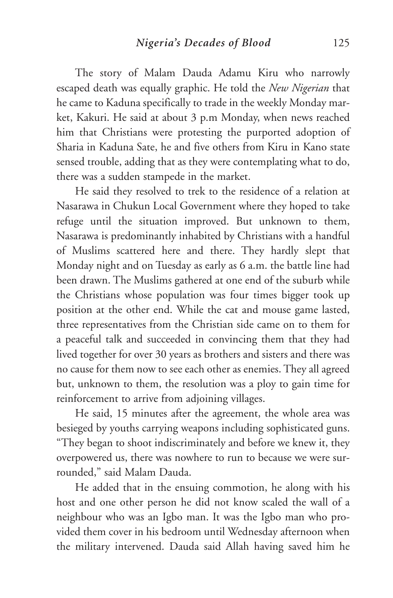The story of Malam Dauda Adamu Kiru who narrowly escaped death was equally graphic. He told the *New Nigerian* that he came to Kaduna specifically to trade in the weekly Monday market, Kakuri. He said at about 3 p.m Monday, when news reached him that Christians were protesting the purported adoption of Sharia in Kaduna Sate, he and five others from Kiru in Kano state sensed trouble, adding that as they were contemplating what to do, there was a sudden stampede in the market.

He said they resolved to trek to the residence of a relation at Nasarawa in Chukun Local Government where they hoped to take refuge until the situation improved. But unknown to them, Nasarawa is predominantly inhabited by Christians with a handful of Muslims scattered here and there. They hardly slept that Monday night and on Tuesday as early as 6 a.m. the battle line had been drawn. The Muslims gathered at one end of the suburb while the Christians whose population was four times bigger took up position at the other end. While the cat and mouse game lasted, three representatives from the Christian side came on to them for a peaceful talk and succeeded in convincing them that they had lived together for over 30 years as brothers and sisters and there was no cause for them now to see each other as enemies. They all agreed but, unknown to them, the resolution was a ploy to gain time for reinforcement to arrive from adjoining villages.

He said, 15 minutes after the agreement, the whole area was besieged by youths carrying weapons including sophisticated guns. "They began to shoot indiscriminately and before we knew it, they overpowered us, there was nowhere to run to because we were surrounded," said Malam Dauda.

He added that in the ensuing commotion, he along with his host and one other person he did not know scaled the wall of a neighbour who was an Igbo man. It was the Igbo man who provided them cover in his bedroom until Wednesday afternoon when the military intervened. Dauda said Allah having saved him he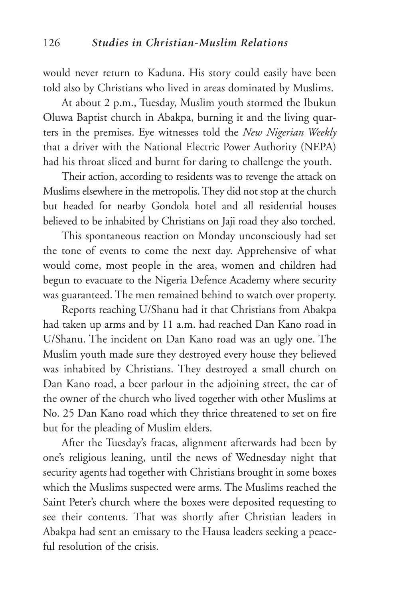would never return to Kaduna. His story could easily have been told also by Christians who lived in areas dominated by Muslims.

At about 2 p.m., Tuesday, Muslim youth stormed the Ibukun Oluwa Baptist church in Abakpa, burning it and the living quarters in the premises. Eye witnesses told the *New Nigerian Weekly* that a driver with the National Electric Power Authority (NEPA) had his throat sliced and burnt for daring to challenge the youth.

Their action, according to residents was to revenge the attack on Muslims elsewhere in the metropolis. They did not stop at the church but headed for nearby Gondola hotel and all residential houses believed to be inhabited by Christians on Jaji road they also torched.

This spontaneous reaction on Monday unconsciously had set the tone of events to come the next day. Apprehensive of what would come, most people in the area, women and children had begun to evacuate to the Nigeria Defence Academy where security was guaranteed. The men remained behind to watch over property.

Reports reaching U/Shanu had it that Christians from Abakpa had taken up arms and by 11 a.m. had reached Dan Kano road in U/Shanu. The incident on Dan Kano road was an ugly one. The Muslim youth made sure they destroyed every house they believed was inhabited by Christians. They destroyed a small church on Dan Kano road, a beer parlour in the adjoining street, the car of the owner of the church who lived together with other Muslims at No. 25 Dan Kano road which they thrice threatened to set on fire but for the pleading of Muslim elders.

After the Tuesday's fracas, alignment afterwards had been by one's religious leaning, until the news of Wednesday night that security agents had together with Christians brought in some boxes which the Muslims suspected were arms. The Muslims reached the Saint Peter's church where the boxes were deposited requesting to see their contents. That was shortly after Christian leaders in Abakpa had sent an emissary to the Hausa leaders seeking a peaceful resolution of the crisis.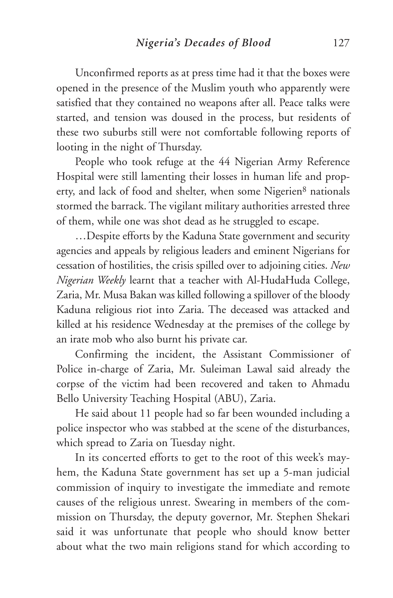Unconfirmed reports as at press time had it that the boxes were opened in the presence of the Muslim youth who apparently were satisfied that they contained no weapons after all. Peace talks were started, and tension was doused in the process, but residents of these two suburbs still were not comfortable following reports of looting in the night of Thursday.

People who took refuge at the 44 Nigerian Army Reference Hospital were still lamenting their losses in human life and property, and lack of food and shelter, when some Nigerien<sup>8</sup> nationals stormed the barrack. The vigilant military authorities arrested three of them, while one was shot dead as he struggled to escape.

…Despite efforts by the Kaduna State government and security agencies and appeals by religious leaders and eminent Nigerians for cessation of hostilities, the crisis spilled over to adjoining cities. *New Nigerian Weekly* learnt that a teacher with Al-HudaHuda College, Zaria, Mr. Musa Bakan was killed following a spillover of the bloody Kaduna religious riot into Zaria. The deceased was attacked and killed at his residence Wednesday at the premises of the college by an irate mob who also burnt his private car.

Confirming the incident, the Assistant Commissioner of Police in-charge of Zaria, Mr. Suleiman Lawal said already the corpse of the victim had been recovered and taken to Ahmadu Bello University Teaching Hospital (ABU), Zaria.

He said about 11 people had so far been wounded including a police inspector who was stabbed at the scene of the disturbances, which spread to Zaria on Tuesday night.

In its concerted efforts to get to the root of this week's mayhem, the Kaduna State government has set up a 5-man judicial commission of inquiry to investigate the immediate and remote causes of the religious unrest. Swearing in members of the commission on Thursday, the deputy governor, Mr. Stephen Shekari said it was unfortunate that people who should know better about what the two main religions stand for which according to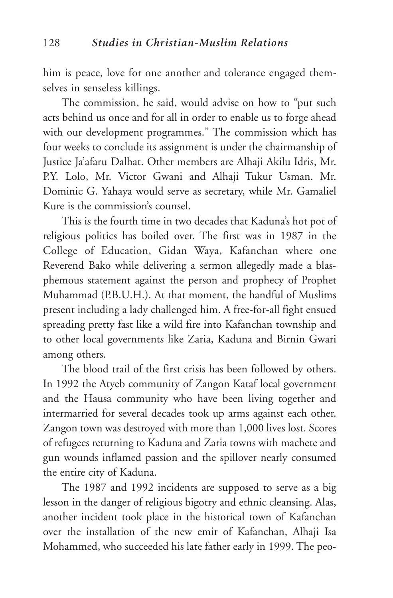him is peace, love for one another and tolerance engaged themselves in senseless killings.

The commission, he said, would advise on how to "put such acts behind us once and for all in order to enable us to forge ahead with our development programmes." The commission which has four weeks to conclude its assignment is under the chairmanship of Justice Ja'afaru Dalhat. Other members are Alhaji Akilu Idris, Mr. P.Y. Lolo, Mr. Victor Gwani and Alhaji Tukur Usman. Mr. Dominic G. Yahaya would serve as secretary, while Mr. Gamaliel Kure is the commission's counsel.

This is the fourth time in two decades that Kaduna's hot pot of religious politics has boiled over. The first was in 1987 in the College of Education, Gidan Waya, Kafanchan where one Reverend Bako while delivering a sermon allegedly made a blasphemous statement against the person and prophecy of Prophet Muhammad (P.B.U.H.). At that moment, the handful of Muslims present including a lady challenged him. A free-for-all fight ensued spreading pretty fast like a wild fire into Kafanchan township and to other local governments like Zaria, Kaduna and Birnin Gwari among others.

The blood trail of the first crisis has been followed by others. In 1992 the Atyeb community of Zangon Kataf local government and the Hausa community who have been living together and intermarried for several decades took up arms against each other. Zangon town was destroyed with more than 1,000 lives lost. Scores of refugees returning to Kaduna and Zaria towns with machete and gun wounds inflamed passion and the spillover nearly consumed the entire city of Kaduna.

The 1987 and 1992 incidents are supposed to serve as a big lesson in the danger of religious bigotry and ethnic cleansing. Alas, another incident took place in the historical town of Kafanchan over the installation of the new emir of Kafanchan, Alhaji Isa Mohammed, who succeeded his late father early in 1999. The peo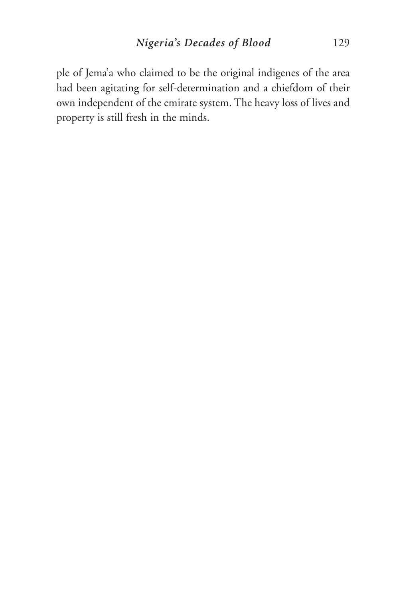ple of Jema'a who claimed to be the original indigenes of the area had been agitating for self-determination and a chiefdom of their own independent of the emirate system. The heavy loss of lives and property is still fresh in the minds.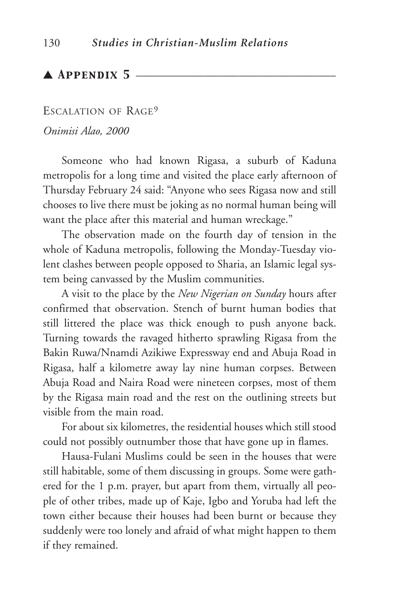#### ▲ *Appendix 5* \_\_\_\_\_\_\_\_\_\_\_\_\_\_\_\_\_\_\_\_\_\_\_\_\_\_\_\_\_\_\_\_\_\_\_

#### ESCALATION OF RAGE9

#### *Onimisi Alao, 2000*

Someone who had known Rigasa, a suburb of Kaduna metropolis for a long time and visited the place early afternoon of Thursday February 24 said: "Anyone who sees Rigasa now and still chooses to live there must be joking as no normal human being will want the place after this material and human wreckage."

The observation made on the fourth day of tension in the whole of Kaduna metropolis, following the Monday-Tuesday violent clashes between people opposed to Sharia, an Islamic legal system being canvassed by the Muslim communities.

A visit to the place by the *New Nigerian on Sunday* hours after confirmed that observation. Stench of burnt human bodies that still littered the place was thick enough to push anyone back. Turning towards the ravaged hitherto sprawling Rigasa from the Bakin Ruwa/Nnamdi Azikiwe Expressway end and Abuja Road in Rigasa, half a kilometre away lay nine human corpses. Between Abuja Road and Naira Road were nineteen corpses, most of them by the Rigasa main road and the rest on the outlining streets but visible from the main road.

For about six kilometres, the residential houses which still stood could not possibly outnumber those that have gone up in flames.

Hausa-Fulani Muslims could be seen in the houses that were still habitable, some of them discussing in groups. Some were gathered for the 1 p.m. prayer, but apart from them, virtually all people of other tribes, made up of Kaje, Igbo and Yoruba had left the town either because their houses had been burnt or because they suddenly were too lonely and afraid of what might happen to them if they remained.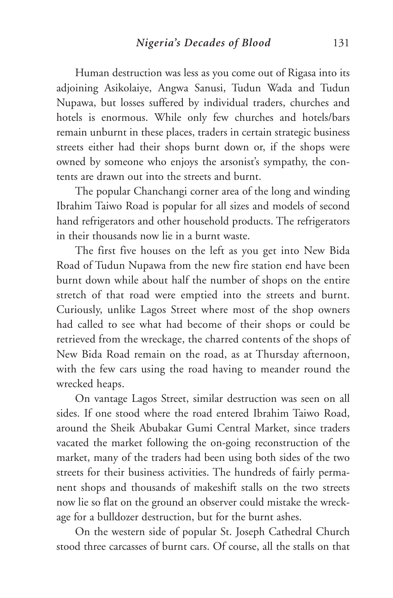Human destruction was less as you come out of Rigasa into its adjoining Asikolaiye, Angwa Sanusi, Tudun Wada and Tudun Nupawa, but losses suffered by individual traders, churches and hotels is enormous. While only few churches and hotels/bars remain unburnt in these places, traders in certain strategic business streets either had their shops burnt down or, if the shops were owned by someone who enjoys the arsonist's sympathy, the contents are drawn out into the streets and burnt.

The popular Chanchangi corner area of the long and winding Ibrahim Taiwo Road is popular for all sizes and models of second hand refrigerators and other household products. The refrigerators in their thousands now lie in a burnt waste.

The first five houses on the left as you get into New Bida Road of Tudun Nupawa from the new fire station end have been burnt down while about half the number of shops on the entire stretch of that road were emptied into the streets and burnt. Curiously, unlike Lagos Street where most of the shop owners had called to see what had become of their shops or could be retrieved from the wreckage, the charred contents of the shops of New Bida Road remain on the road, as at Thursday afternoon, with the few cars using the road having to meander round the wrecked heaps.

On vantage Lagos Street, similar destruction was seen on all sides. If one stood where the road entered Ibrahim Taiwo Road, around the Sheik Abubakar Gumi Central Market, since traders vacated the market following the on-going reconstruction of the market, many of the traders had been using both sides of the two streets for their business activities. The hundreds of fairly permanent shops and thousands of makeshift stalls on the two streets now lie so flat on the ground an observer could mistake the wreckage for a bulldozer destruction, but for the burnt ashes.

On the western side of popular St. Joseph Cathedral Church stood three carcasses of burnt cars. Of course, all the stalls on that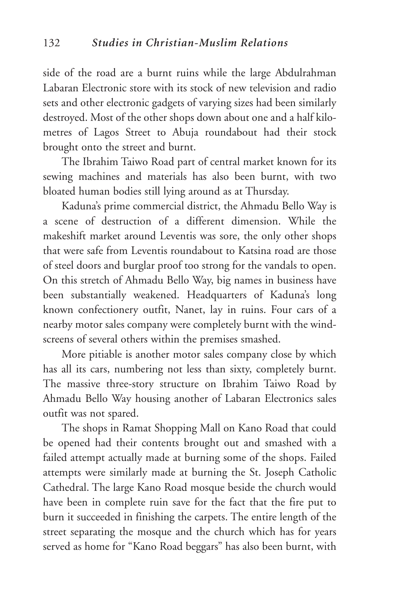side of the road are a burnt ruins while the large Abdulrahman Labaran Electronic store with its stock of new television and radio sets and other electronic gadgets of varying sizes had been similarly destroyed. Most of the other shops down about one and a half kilometres of Lagos Street to Abuja roundabout had their stock brought onto the street and burnt.

The Ibrahim Taiwo Road part of central market known for its sewing machines and materials has also been burnt, with two bloated human bodies still lying around as at Thursday.

Kaduna's prime commercial district, the Ahmadu Bello Way is a scene of destruction of a different dimension. While the makeshift market around Leventis was sore, the only other shops that were safe from Leventis roundabout to Katsina road are those of steel doors and burglar proof too strong for the vandals to open. On this stretch of Ahmadu Bello Way, big names in business have been substantially weakened. Headquarters of Kaduna's long known confectionery outfit, Nanet, lay in ruins. Four cars of a nearby motor sales company were completely burnt with the windscreens of several others within the premises smashed.

More pitiable is another motor sales company close by which has all its cars, numbering not less than sixty, completely burnt. The massive three-story structure on Ibrahim Taiwo Road by Ahmadu Bello Way housing another of Labaran Electronics sales outfit was not spared.

The shops in Ramat Shopping Mall on Kano Road that could be opened had their contents brought out and smashed with a failed attempt actually made at burning some of the shops. Failed attempts were similarly made at burning the St. Joseph Catholic Cathedral. The large Kano Road mosque beside the church would have been in complete ruin save for the fact that the fire put to burn it succeeded in finishing the carpets. The entire length of the street separating the mosque and the church which has for years served as home for "Kano Road beggars" has also been burnt, with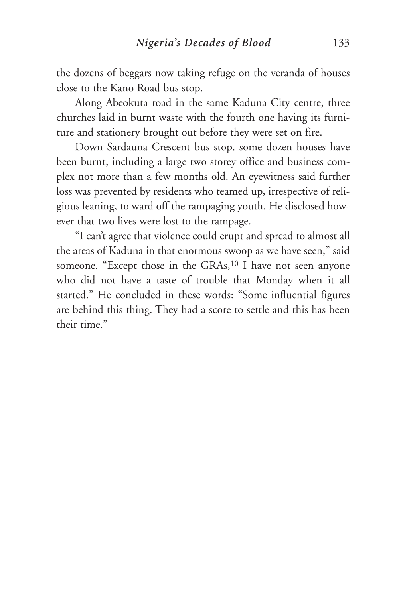the dozens of beggars now taking refuge on the veranda of houses close to the Kano Road bus stop.

Along Abeokuta road in the same Kaduna City centre, three churches laid in burnt waste with the fourth one having its furniture and stationery brought out before they were set on fire.

Down Sardauna Crescent bus stop, some dozen houses have been burnt, including a large two storey office and business complex not more than a few months old. An eyewitness said further loss was prevented by residents who teamed up, irrespective of religious leaning, to ward off the rampaging youth. He disclosed however that two lives were lost to the rampage.

"I can't agree that violence could erupt and spread to almost all the areas of Kaduna in that enormous swoop as we have seen," said someone. "Except those in the GRAs,<sup>10</sup> I have not seen anyone who did not have a taste of trouble that Monday when it all started." He concluded in these words: "Some influential figures are behind this thing. They had a score to settle and this has been their time."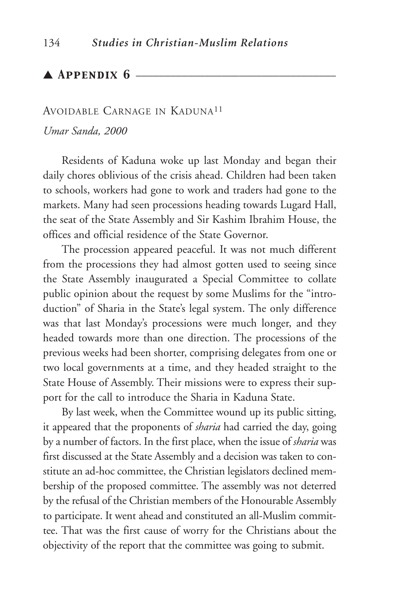## $\blacktriangle$  Appendix 6  $\equiv$

# AVOIDABLE CARNAGE IN KADUNA11

#### *Umar Sanda, 2000*

Residents of Kaduna woke up last Monday and began their daily chores oblivious of the crisis ahead. Children had been taken to schools, workers had gone to work and traders had gone to the markets. Many had seen processions heading towards Lugard Hall, the seat of the State Assembly and Sir Kashim Ibrahim House, the offices and official residence of the State Governor.

The procession appeared peaceful. It was not much different from the processions they had almost gotten used to seeing since the State Assembly inaugurated a Special Committee to collate public opinion about the request by some Muslims for the "introduction" of Sharia in the State's legal system. The only difference was that last Monday's processions were much longer, and they headed towards more than one direction. The processions of the previous weeks had been shorter, comprising delegates from one or two local governments at a time, and they headed straight to the State House of Assembly. Their missions were to express their support for the call to introduce the Sharia in Kaduna State.

By last week, when the Committee wound up its public sitting, it appeared that the proponents of *sharia* had carried the day, going by a number of factors. In the first place, when the issue of *sharia* was first discussed at the State Assembly and a decision was taken to constitute an ad-hoc committee, the Christian legislators declined membership of the proposed committee. The assembly was not deterred by the refusal of the Christian members of the Honourable Assembly to participate. It went ahead and constituted an all-Muslim committee. That was the first cause of worry for the Christians about the objectivity of the report that the committee was going to submit.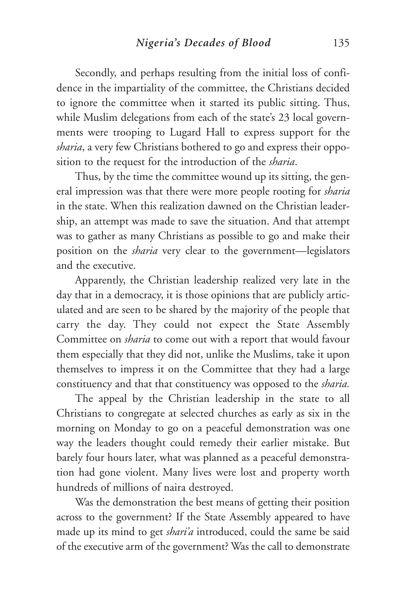Secondly, and perhaps resulting from the initial loss of confidence in the impartiality of the committee, the Christians decided to ignore the committee when it started its public sitting. Thus, while Muslim delegations from each of the state's 23 local governments were trooping to Lugard Hall to express support for the *sharia*, a very few Christians bothered to go and express their opposition to the request for the introduction of the *sharia*.

Thus, by the time the committee wound up its sitting, the general impression was that there were more people rooting for *sharia* in the state. When this realization dawned on the Christian leadership, an attempt was made to save the situation. And that attempt was to gather as many Christians as possible to go and make their position on the *sharia* very clear to the government—legislators and the executive.

Apparently, the Christian leadership realized very late in the day that in a democracy, it is those opinions that are publicly articulated and are seen to be shared by the majority of the people that carry the day. They could not expect the State Assembly Committee on *sharia* to come out with a report that would favour them especially that they did not, unlike the Muslims, take it upon themselves to impress it on the Committee that they had a large constituency and that that constituency was opposed to the *sharia.*

The appeal by the Christian leadership in the state to all Christians to congregate at selected churches as early as six in the morning on Monday to go on a peaceful demonstration was one way the leaders thought could remedy their earlier mistake. But barely four hours later, what was planned as a peaceful demonstration had gone violent. Many lives were lost and property worth hundreds of millions of naira destroyed.

Was the demonstration the best means of getting their position across to the government? If the State Assembly appeared to have made up its mind to get *shari'a* introduced, could the same be said of the executive arm of the government? Was the call to demonstrate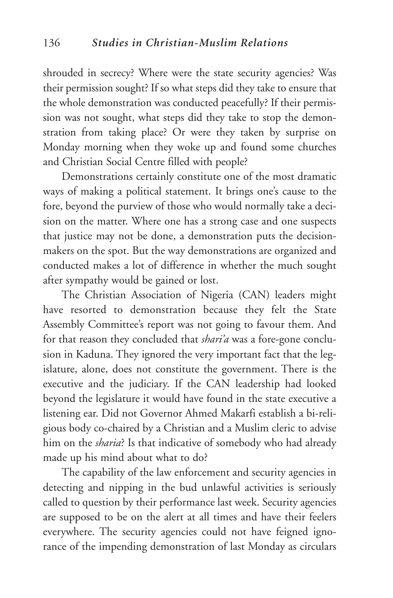shrouded in secrecy? Where were the state security agencies? Was their permission sought? If so what steps did they take to ensure that the whole demonstration was conducted peacefully? If their permission was not sought, what steps did they take to stop the demonstration from taking place? Or were they taken by surprise on Monday morning when they woke up and found some churches and Christian Social Centre filled with people?

Demonstrations certainly constitute one of the most dramatic ways of making a political statement. It brings one's cause to the fore, beyond the purview of those who would normally take a decision on the matter. Where one has a strong case and one suspects that justice may not be done, a demonstration puts the decisionmakers on the spot. But the way demonstrations are organized and conducted makes a lot of difference in whether the much sought after sympathy would be gained or lost.

The Christian Association of Nigeria (CAN) leaders might have resorted to demonstration because they felt the State Assembly Committee's report was not going to favour them. And for that reason they concluded that *shari'a* was a fore-gone conclusion in Kaduna. They ignored the very important fact that the legislature, alone, does not constitute the government. There is the executive and the judiciary. If the CAN leadership had looked beyond the legislature it would have found in the state executive a listening ear. Did not Governor Ahmed Makarfi establish a bi-religious body co-chaired by a Christian and a Muslim cleric to advise him on the *sharia*? Is that indicative of somebody who had already made up his mind about what to do?

The capability of the law enforcement and security agencies in detecting and nipping in the bud unlawful activities is seriously called to question by their performance last week. Security agencies are supposed to be on the alert at all times and have their feelers everywhere. The security agencies could not have feigned ignorance of the impending demonstration of last Monday as circulars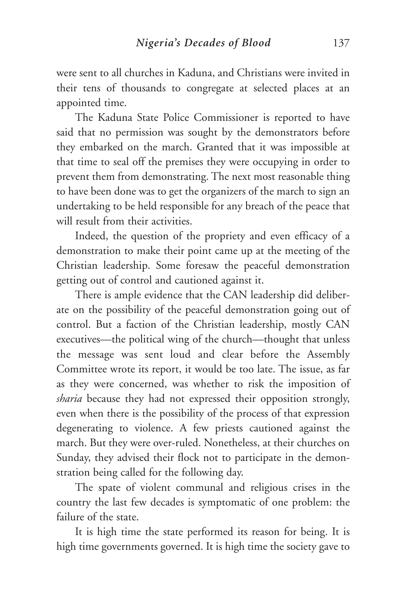were sent to all churches in Kaduna, and Christians were invited in their tens of thousands to congregate at selected places at an appointed time.

The Kaduna State Police Commissioner is reported to have said that no permission was sought by the demonstrators before they embarked on the march. Granted that it was impossible at that time to seal off the premises they were occupying in order to prevent them from demonstrating. The next most reasonable thing to have been done was to get the organizers of the march to sign an undertaking to be held responsible for any breach of the peace that will result from their activities.

Indeed, the question of the propriety and even efficacy of a demonstration to make their point came up at the meeting of the Christian leadership. Some foresaw the peaceful demonstration getting out of control and cautioned against it.

There is ample evidence that the CAN leadership did deliberate on the possibility of the peaceful demonstration going out of control. But a faction of the Christian leadership, mostly CAN executives—the political wing of the church—thought that unless the message was sent loud and clear before the Assembly Committee wrote its report, it would be too late. The issue, as far as they were concerned, was whether to risk the imposition of *sharia* because they had not expressed their opposition strongly, even when there is the possibility of the process of that expression degenerating to violence. A few priests cautioned against the march. But they were over-ruled. Nonetheless, at their churches on Sunday, they advised their flock not to participate in the demonstration being called for the following day.

The spate of violent communal and religious crises in the country the last few decades is symptomatic of one problem: the failure of the state.

It is high time the state performed its reason for being. It is high time governments governed. It is high time the society gave to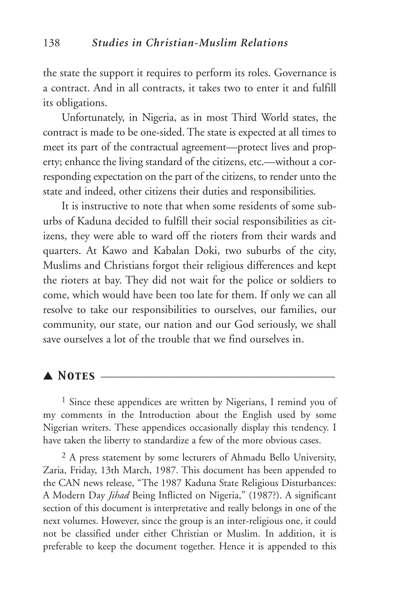the state the support it requires to perform its roles. Governance is a contract. And in all contracts, it takes two to enter it and fulfill its obligations.

Unfortunately, in Nigeria, as in most Third World states, the contract is made to be one-sided. The state is expected at all times to meet its part of the contractual agreement—protect lives and property; enhance the living standard of the citizens, etc.—without a corresponding expectation on the part of the citizens, to render unto the state and indeed, other citizens their duties and responsibilities.

It is instructive to note that when some residents of some suburbs of Kaduna decided to fulfill their social responsibilities as citizens, they were able to ward off the rioters from their wards and quarters. At Kawo and Kabalan Doki, two suburbs of the city, Muslims and Christians forgot their religious differences and kept the rioters at bay. They did not wait for the police or soldiers to come, which would have been too late for them. If only we can all resolve to take our responsibilities to ourselves, our families, our community, our state, our nation and our God seriously, we shall save ourselves a lot of the trouble that we find ourselves in.

#### ▲ *Notes* \_\_\_\_\_\_\_\_\_\_\_\_\_\_\_\_\_\_\_\_\_\_\_\_\_\_\_\_\_\_\_\_\_\_\_\_\_\_\_\_\_

1 Since these appendices are written by Nigerians, I remind you of my comments in the Introduction about the English used by some Nigerian writers. These appendices occasionally display this tendency. I have taken the liberty to standardize a few of the more obvious cases.

2 A press statement by some lecturers of Ahmadu Bello University, Zaria, Friday, 13th March, 1987. This document has been appended to the CAN news release, "The 1987 Kaduna State Religious Disturbances: A Modern Day *Jihad* Being Inflicted on Nigeria," (1987?). A significant section of this document is interpretative and really belongs in one of the next volumes. However, since the group is an inter-religious one, it could not be classified under either Christian or Muslim. In addition, it is preferable to keep the document together. Hence it is appended to this